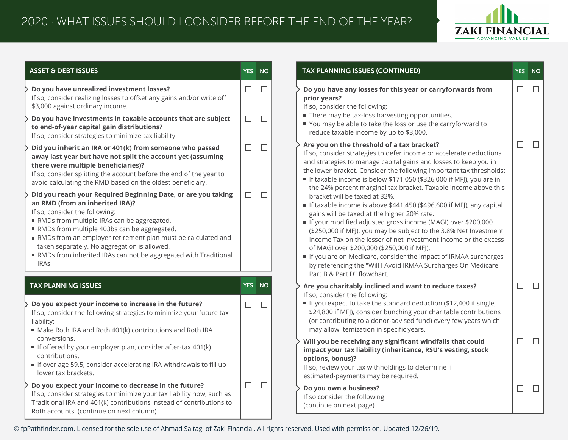

| <b>ASSET &amp; DEBT ISSUES</b>                                                                                                                                                                                                                                                                                                                                                                                              | <b>YES</b> | <b>NO</b> | TAX PLANNING ISSUES (CONTINUED)                                                                                                                                                                                                                                                                                                                                                                                                                                                                                                                                               | <b>YES</b> |  |
|-----------------------------------------------------------------------------------------------------------------------------------------------------------------------------------------------------------------------------------------------------------------------------------------------------------------------------------------------------------------------------------------------------------------------------|------------|-----------|-------------------------------------------------------------------------------------------------------------------------------------------------------------------------------------------------------------------------------------------------------------------------------------------------------------------------------------------------------------------------------------------------------------------------------------------------------------------------------------------------------------------------------------------------------------------------------|------------|--|
| Do you have unrealized investment losses?<br>If so, consider realizing losses to offset any gains and/or write off<br>\$3,000 against ordinary income.                                                                                                                                                                                                                                                                      | $\Box$     | $\Box$    | Do you have any losses for this year or carryforwards from<br>prior years?<br>If so, consider the following:                                                                                                                                                                                                                                                                                                                                                                                                                                                                  | $\Box$     |  |
| Do you have investments in taxable accounts that are subject<br>to end-of-year capital gain distributions?<br>If so, consider strategies to minimize tax liability.                                                                                                                                                                                                                                                         | $\Box$     | $\Box$    | There may be tax-loss harvesting opportunities.<br>You may be able to take the loss or use the carryforward to<br>reduce taxable income by up to \$3,000.                                                                                                                                                                                                                                                                                                                                                                                                                     |            |  |
| Did you inherit an IRA or 401(k) from someone who passed<br>away last year but have not split the account yet (assuming<br>there were multiple beneficiaries)?<br>If so, consider splitting the account before the end of the year to<br>avoid calculating the RMD based on the oldest beneficiary.                                                                                                                         | $\Box$     | $\Box$    | Are you on the threshold of a tax bracket?<br>If so, consider strategies to defer income or accelerate deductions<br>and strategies to manage capital gains and losses to keep you in<br>the lower bracket. Consider the following important tax thresholds:<br>If taxable income is below \$171,050 (\$326,000 if MFJ), you are in<br>the 24% percent marginal tax bracket. Taxable income above this                                                                                                                                                                        | $\Box$     |  |
| Did you reach your Required Beginning Date, or are you taking<br>an RMD (from an inherited IRA)?<br>If so, consider the following:<br>RMDs from multiple IRAs can be aggregated.<br>RMDs from multiple 403bs can be aggregated.<br>RMDs from an employer retirement plan must be calculated and<br>taken separately. No aggregation is allowed.<br>RMDs from inherited IRAs can not be aggregated with Traditional<br>IRAs. | $\Box$     | $\Box$    | bracket will be taxed at 32%.<br>If taxable income is above \$441,450 (\$496,600 if MFJ), any capital<br>gains will be taxed at the higher 20% rate.<br>If your modified adjusted gross income (MAGI) over \$200,000<br>(\$250,000 if MFJ), you may be subject to the 3.8% Net Investment<br>Income Tax on the lesser of net investment income or the excess<br>of MAGI over \$200,000 (\$250,000 if MFJ).<br>If you are on Medicare, consider the impact of IRMAA surcharges<br>by referencing the "Will I Avoid IRMAA Surcharges On Medicare<br>Part B & Part D" flowchart. |            |  |
| <b>TAX PLANNING ISSUES</b>                                                                                                                                                                                                                                                                                                                                                                                                  | <b>YES</b> | <b>NO</b> | Are you charitably inclined and want to reduce taxes?                                                                                                                                                                                                                                                                                                                                                                                                                                                                                                                         | $\Box$     |  |
| Do you expect your income to increase in the future?<br>If so, consider the following strategies to minimize your future tax<br>liability:<br>Make Roth IRA and Roth 401(k) contributions and Roth IRA                                                                                                                                                                                                                      | $\Box$     | $\Box$    | If so, consider the following:<br>If you expect to take the standard deduction (\$12,400 if single,<br>\$24,800 if MFJ), consider bunching your charitable contributions<br>(or contributing to a donor-advised fund) every few years which<br>may allow itemization in specific years.                                                                                                                                                                                                                                                                                       |            |  |
| conversions.<br>If offered by your employer plan, consider after-tax 401(k)<br>contributions.<br>If over age 59.5, consider accelerating IRA withdrawals to fill up<br>lower tax brackets.                                                                                                                                                                                                                                  |            |           | Will you be receiving any significant windfalls that could<br>impact your tax liability (inheritance, RSU's vesting, stock<br>options, bonus)?<br>If so, review your tax withholdings to determine if<br>estimated-payments may be required.                                                                                                                                                                                                                                                                                                                                  | $\Box$     |  |
| Do you expect your income to decrease in the future?<br>If so, consider strategies to minimize your tax liability now, such as<br>Traditional IRA and 401(k) contributions instead of contributions to<br>Roth accounts. (continue on next column)                                                                                                                                                                          | $\Box$     | $\Box$    | Do you own a business?<br>If so consider the following:<br>(continue on next page)                                                                                                                                                                                                                                                                                                                                                                                                                                                                                            | $\Box$     |  |

© fpPathfinder.com. Licensed for the sole use of Ahmad Saltagi of Zaki Financial. All rights reserved. Used with permission. Updated 12/26/19.